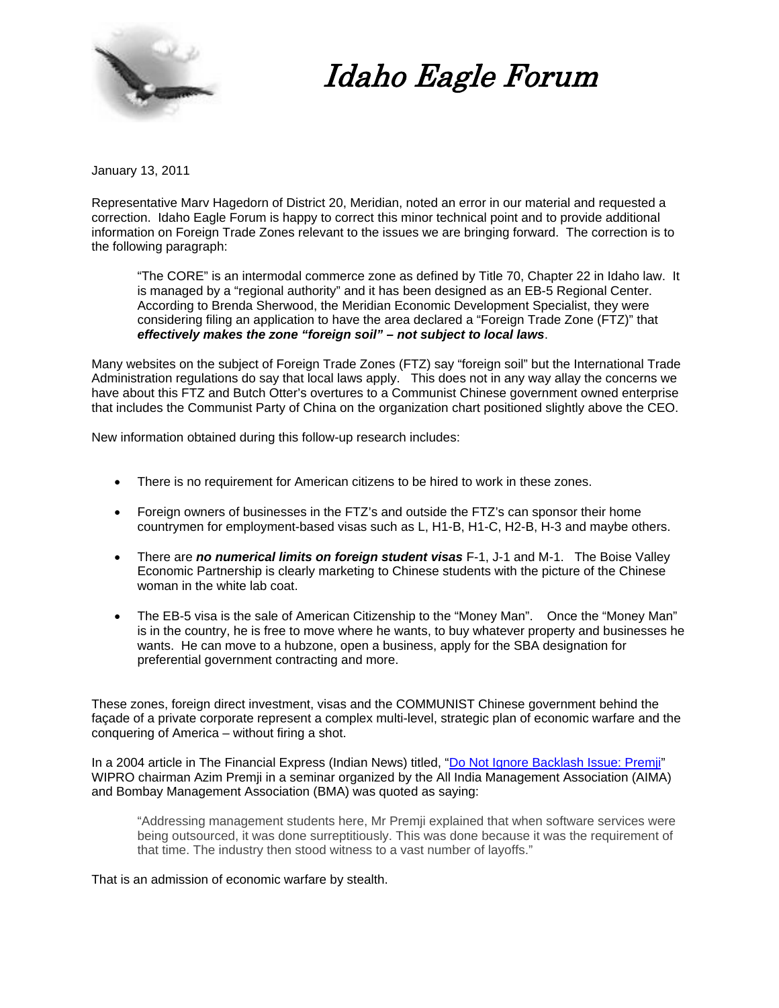

# Idaho Eagle Forum

January 13, 2011

Representative Marv Hagedorn of District 20, Meridian, noted an error in our material and requested a correction. Idaho Eagle Forum is happy to correct this minor technical point and to provide additional information on Foreign Trade Zones relevant to the issues we are bringing forward. The correction is to the following paragraph:

"The CORE" is an intermodal commerce zone as defined by Title 70, Chapter 22 in Idaho law. It is managed by a "regional authority" and it has been designed as an EB-5 Regional Center. According to Brenda Sherwood, the Meridian Economic Development Specialist, they were considering filing an application to have the area declared a "Foreign Trade Zone (FTZ)" that *effectively makes the zone "foreign soil" – not subject to local laws*.

Many websites on the subject of Foreign Trade Zones (FTZ) say "foreign soil" but the International Trade Administration regulations do say that local laws apply. This does not in any way allay the concerns we have about this FTZ and Butch Otter's overtures to a Communist Chinese government owned enterprise that includes the Communist Party of China on the organization chart positioned slightly above the CEO.

New information obtained during this follow-up research includes:

- There is no requirement for American citizens to be hired to work in these zones.
- Foreign owners of businesses in the FTZ's and outside the FTZ's can sponsor their home countrymen for employment-based visas such as L, H1-B, H1-C, H2-B, H-3 and maybe others.
- There are *no numerical limits on foreign student visas* F-1, J-1 and M-1. The Boise Valley Economic Partnership is clearly marketing to Chinese students with the picture of the Chinese woman in the white lab coat.
- The EB-5 visa is the sale of American Citizenship to the "Money Man". Once the "Money Man" is in the country, he is free to move where he wants, to buy whatever property and businesses he wants. He can move to a hubzone, open a business, apply for the SBA designation for preferential government contracting and more.

These zones, foreign direct investment, visas and the COMMUNIST Chinese government behind the façade of a private corporate represent a complex multi-level, strategic plan of economic warfare and the conquering of America – without firing a shot.

In a 2004 article in The Financial Express (Indian News) titled, ["Do Not Ignore Backlash Issue: Premji"](http://www.financialexpress.com/news/do-not-ignore-backlash-issue-premji/58066/0) WIPRO chairman Azim Premji in a seminar organized by the All India Management Association (AIMA) and Bombay Management Association (BMA) was quoted as saying:

"Addressing management students here, Mr Premji explained that when software services were being outsourced, it was done surreptitiously. This was done because it was the requirement of that time. The industry then stood witness to a vast number of layoffs."

That is an admission of economic warfare by stealth.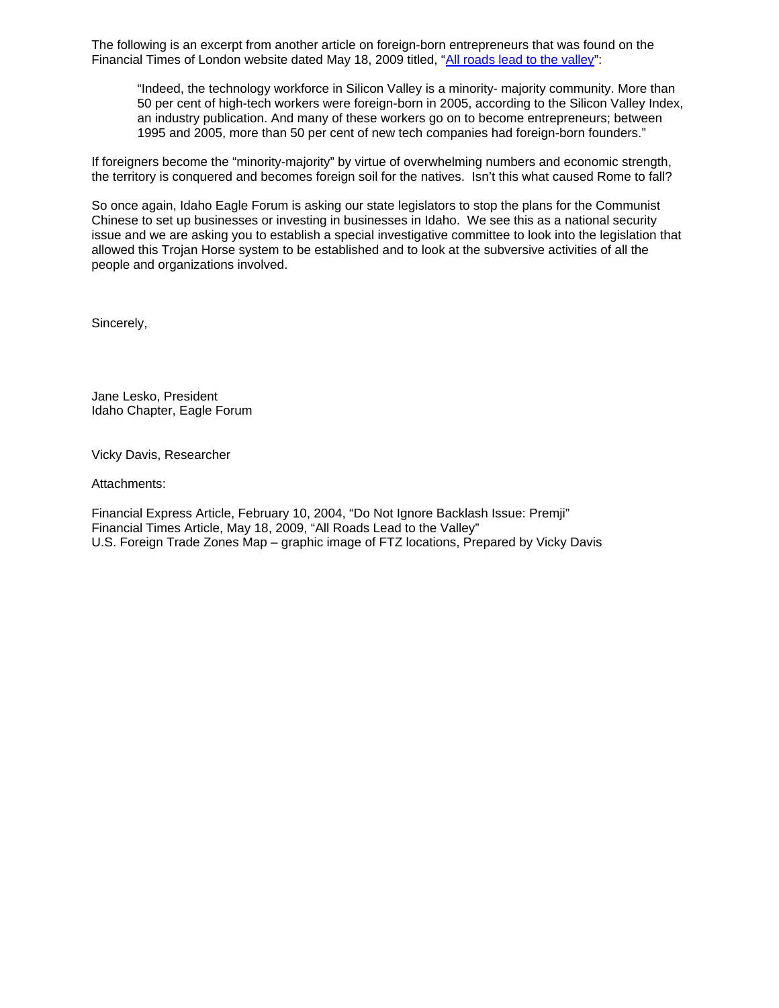The following is an excerpt from another article on foreign-born entrepreneurs that was found on the Financial Times of London website dated May 18, 2009 titled, ["All roads lead to the valley](http://www.ft.com/cms/s/0/0f1512ae-43c5-11de-a9be-00144feabdc0.html)":

"Indeed, the technology workforce in Silicon Valley is a minority- majority community. More than 50 per cent of high-tech workers were foreign-born in 2005, according to the Silicon Valley Index, an industry publication. And many of these workers go on to become entrepreneurs; between 1995 and 2005, more than 50 per cent of new tech companies had foreign-born founders."

If foreigners become the "minority-majority" by virtue of overwhelming numbers and economic strength, the territory is conquered and becomes foreign soil for the natives. Isn't this what caused Rome to fall?

So once again, Idaho Eagle Forum is asking our state legislators to stop the plans for the Communist Chinese to set up businesses or investing in businesses in Idaho. We see this as a national security issue and we are asking you to establish a special investigative committee to look into the legislation that allowed this Trojan Horse system to be established and to look at the subversive activities of all the people and organizations involved.

Sincerely,

Jane Lesko, President Idaho Chapter, Eagle Forum

Vicky Davis, Researcher

Attachments:

Financial Express Article, February 10, 2004, "Do Not Ignore Backlash Issue: Premji" Financial Times Article, May 18, 2009, "All Roads Lead to the Valley" U.S. Foreign Trade Zones Map – graphic image of FTZ locations, Prepared by Vicky Davis